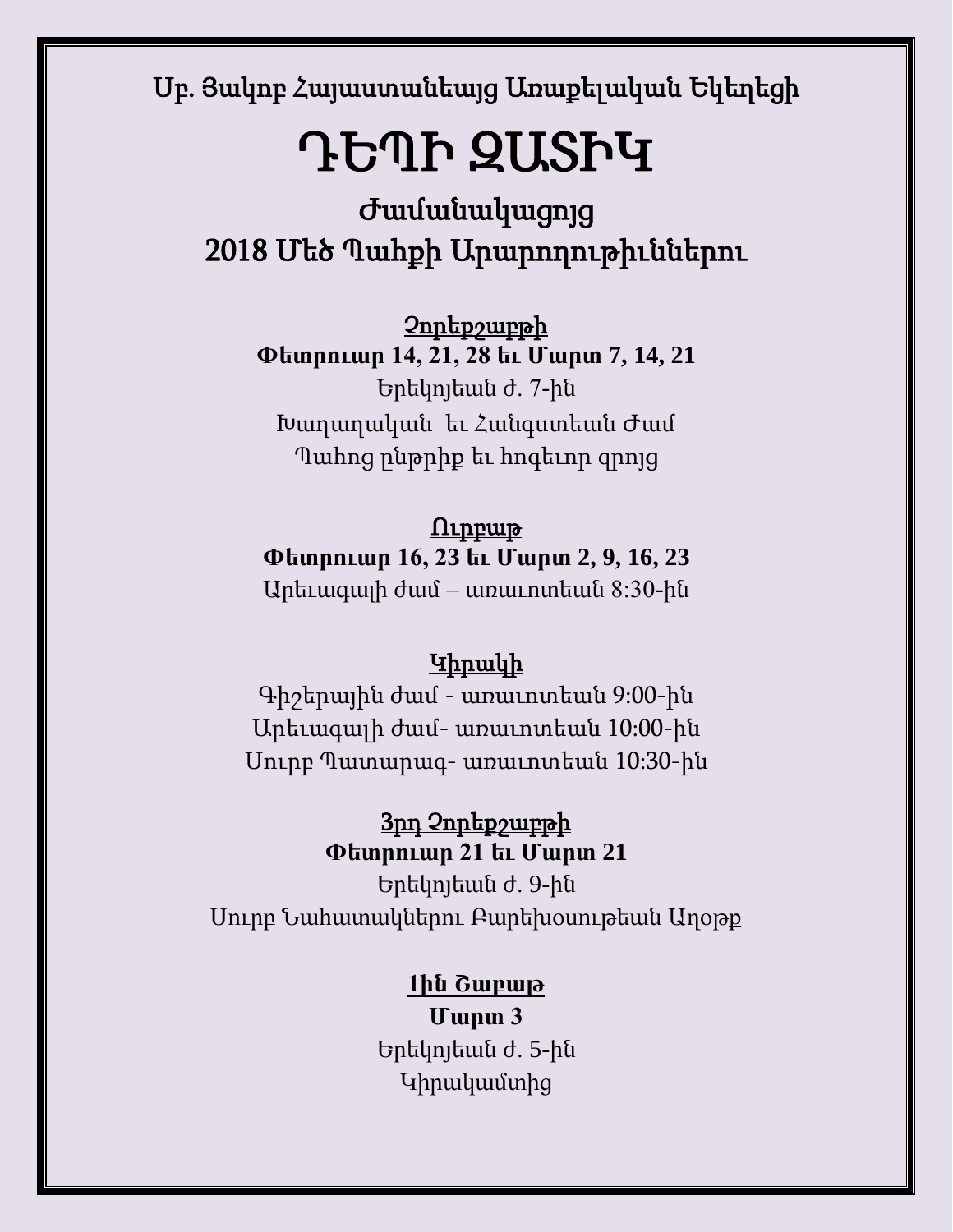Սբ. Յակոբ Հայաստանեայց Առաքելական Եկեղեցի

# ԴԵՊԻ ԶԱՏԻԿ

Ժամանակացոյց 2018 Մեծ Պահքի Արարողութիւններու

Չորեքշաբթի **Փետրուար 14, 21, 28 եւ Մարտ 7, 14, 21** Երեկոյեան ժ. 7-ին Խաղաղական եւ Հանգստեան Ժամ Պահոց ընթրիք եւ հոգեւոր զրոյց

### $\Omega$ ւրբաթ

**Փետրուար 16, 23 եւ Մարտ 2, 9, 16, 23**

Արեւագալի ժամ – առաւոտեան 8:30-ին

### Կիրակի

Գիշերային ժամ - առաւոտեան 9:00-ին Արեւագալի ժամ- առաւոտեան 10:00-ին Սուրբ Պատարագ- առաւոտեան 10:30-ին

### 3րդ Չորեքշաբթի **Փետրուար 21 եւ Մարտ 21**

Երեկոյեան ժ. 9-ին Սուրբ Նահատակներու Բարեխօսութեան Աղօթք

### **1ին Շաբաթ**

**Մարտ 3**  Երեկոյեան ժ. 5-ին Կիրակամտից